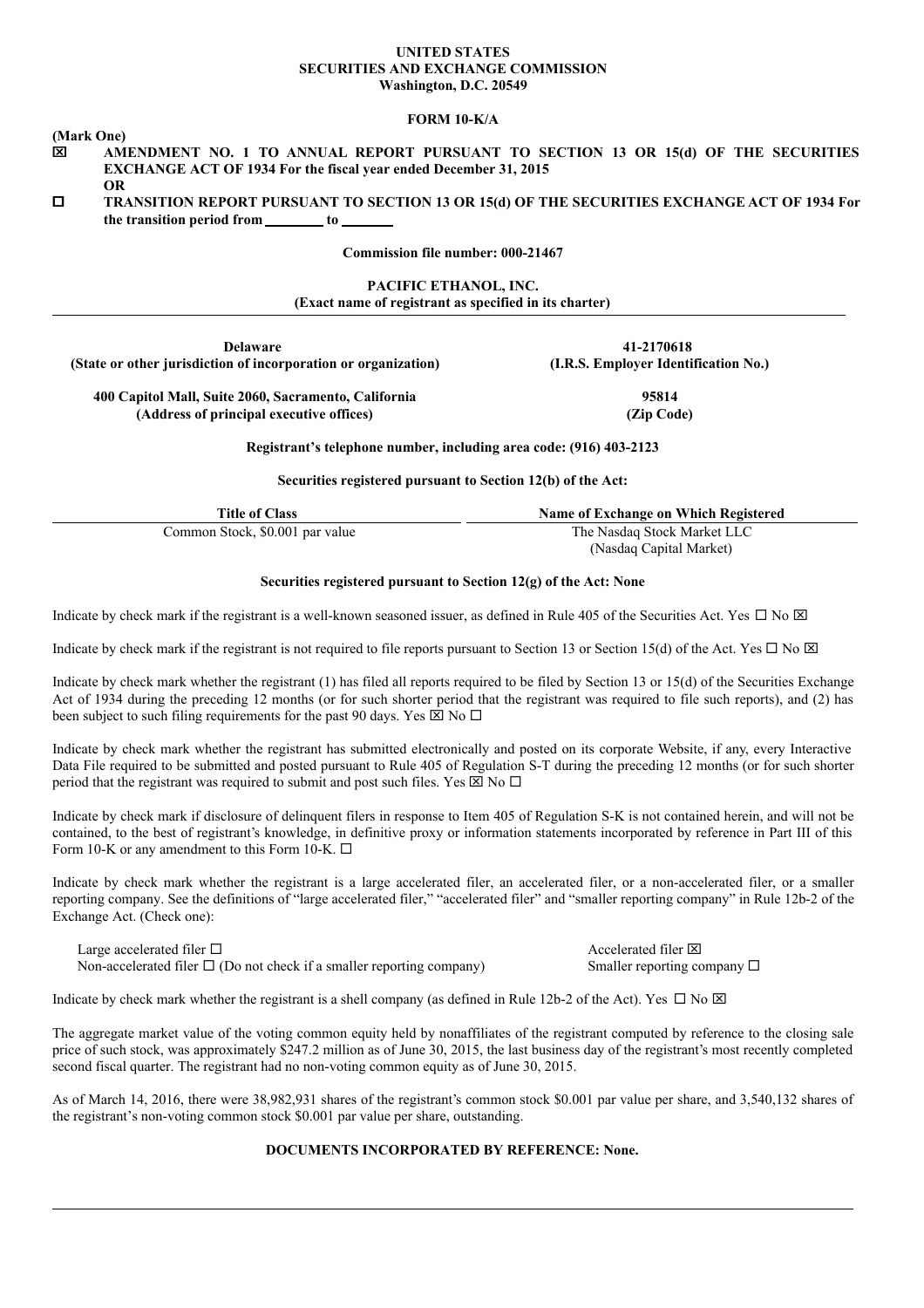#### **UNITED STATES SECURITIES AND EXCHANGE COMMISSION Washington, D.C. 20549**

#### **FORM 10-K/A**

**(Mark One)**

- x **AMENDMENT NO. 1 TO ANNUAL REPORT PURSUANT TO SECTION 13 OR 15(d) OF THE SECURITIES EXCHANGE ACT OF 1934 For the fiscal year ended December 31, 2015 OR**
- o **TRANSITION REPORT PURSUANT TO SECTION 13 OR 15(d) OF THE SECURITIES EXCHANGE ACT OF 1934 For the transition period from to**

#### **Commission file number: 000-21467**

### **PACIFIC ETHANOL, INC. (Exact name of registrant as specified in its charter)**

**Delaware 41-2170618 (State or other jurisdiction of incorporation or organization) (I.R.S. Employer Identification No.)**

**400 Capitol Mall, Suite 2060, Sacramento, California 95814 (Address of principal executive offices) (Zip Code)**

**Registrant's telephone number, including area code: (916) 403-2123**

**Securities registered pursuant to Section 12(b) of the Act:**

| Title of Class                  | Name of Exchange on Which Registered |
|---------------------------------|--------------------------------------|
| Common Stock, \$0.001 par value | The Nasdaq Stock Market LLC          |
|                                 | (Nasdaq Capital Market)              |

#### **Securities registered pursuant to Section 12(g) of the Act: None**

Indicate by check mark if the registrant is a well-known seasoned issuer, as defined in Rule 405 of the Securities Act. Yes  $\Box$  No  $\boxtimes$ 

Indicate by check mark if the registrant is not required to file reports pursuant to Section 13 or Section 15(d) of the Act. Yes  $\Box$  No  $\boxtimes$ 

Indicate by check mark whether the registrant (1) has filed all reports required to be filed by Section 13 or 15(d) of the Securities Exchange Act of 1934 during the preceding 12 months (or for such shorter period that the registrant was required to file such reports), and (2) has been subject to such filing requirements for the past 90 days. Yes  $\boxtimes$  No  $\Box$ 

Indicate by check mark whether the registrant has submitted electronically and posted on its corporate Website, if any, every Interactive Data File required to be submitted and posted pursuant to Rule 405 of Regulation S-T during the preceding 12 months (or for such shorter period that the registrant was required to submit and post such files. Yes  $\boxtimes$  No  $\Box$ 

Indicate by check mark if disclosure of delinquent filers in response to Item 405 of Regulation S-K is not contained herein, and will not be contained, to the best of registrant's knowledge, in definitive proxy or information statements incorporated by reference in Part III of this Form 10-K or any amendment to this Form 10-K.  $\Box$ 

Indicate by check mark whether the registrant is a large accelerated filer, an accelerated filer, or a non-accelerated filer, or a smaller reporting company. See the definitions of "large accelerated filer," "accelerated filer" and "smaller reporting company" in Rule 12b-2 of the Exchange Act. (Check one):

Large accelerated filer  $\square$ Non-accelerated filer  $\square$  (Do not check if a smaller reporting company) Smaller reporting company  $\square$ 

Indicate by check mark whether the registrant is a shell company (as defined in Rule 12b-2 of the Act). Yes  $\Box$  No  $\boxtimes$ 

The aggregate market value of the voting common equity held by nonaffiliates of the registrant computed by reference to the closing sale price of such stock, was approximately \$247.2 million as of June 30, 2015, the last business day of the registrant's most recently completed second fiscal quarter. The registrant had no non-voting common equity as of June 30, 2015.

As of March 14, 2016, there were 38,982,931 shares of the registrant's common stock \$0.001 par value per share, and 3,540,132 shares of the registrant's non-voting common stock \$0.001 par value per share, outstanding.

# **DOCUMENTS INCORPORATED BY REFERENCE: None.**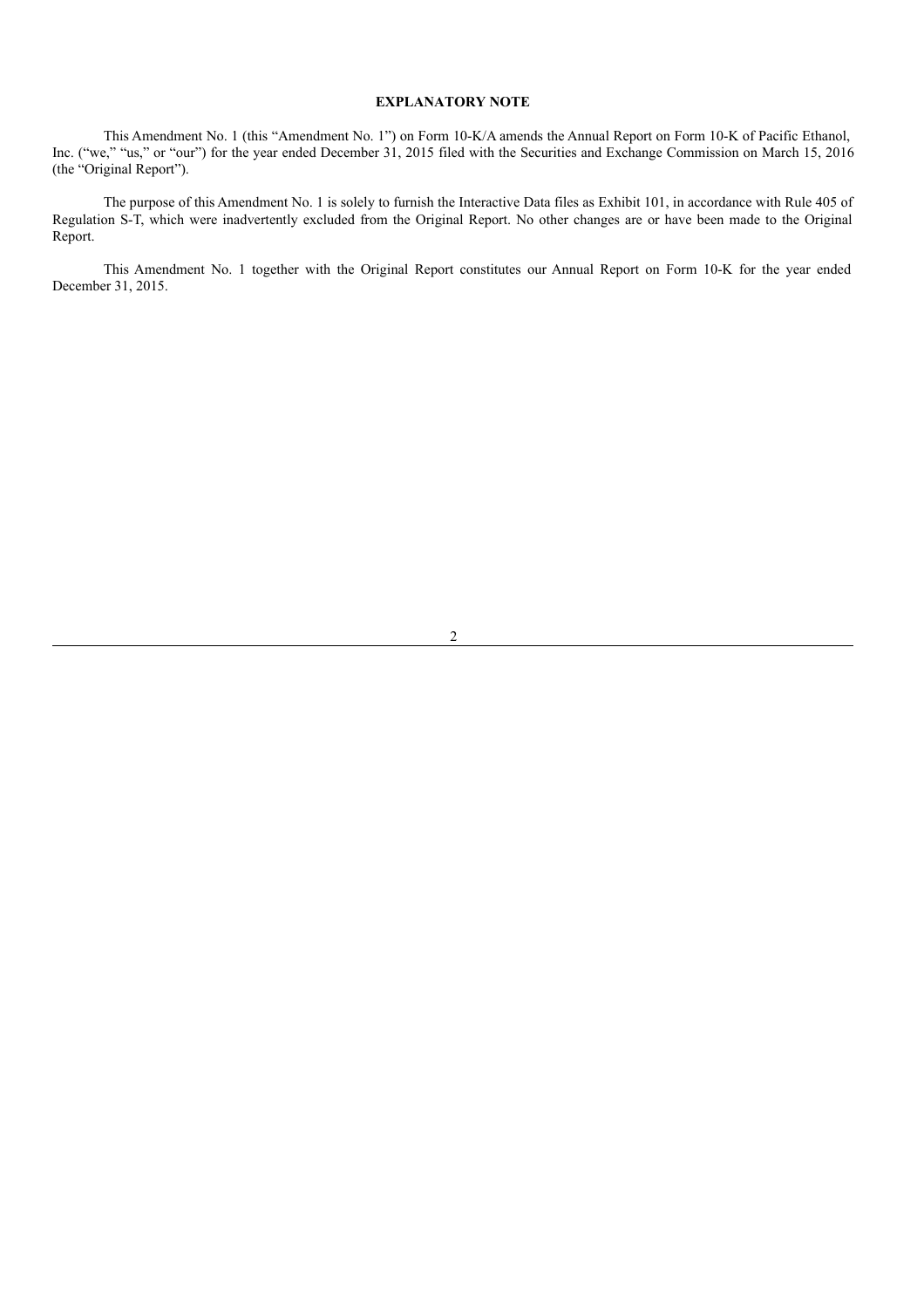## **EXPLANATORY NOTE**

This Amendment No. 1 (this "Amendment No. 1") on Form 10-K/A amends the Annual Report on Form 10-K of Pacific Ethanol, Inc. ("we," "us," or "our") for the year ended December 31, 2015 filed with the Securities and Exchange Commission on March 15, 2016 (the "Original Report").

The purpose of this Amendment No. 1 is solely to furnish the Interactive Data files as Exhibit 101, in accordance with Rule 405 of Regulation S-T, which were inadvertently excluded from the Original Report. No other changes are or have been made to the Original Report.

This Amendment No. 1 together with the Original Report constitutes our Annual Report on Form 10-K for the year ended December 31, 2015.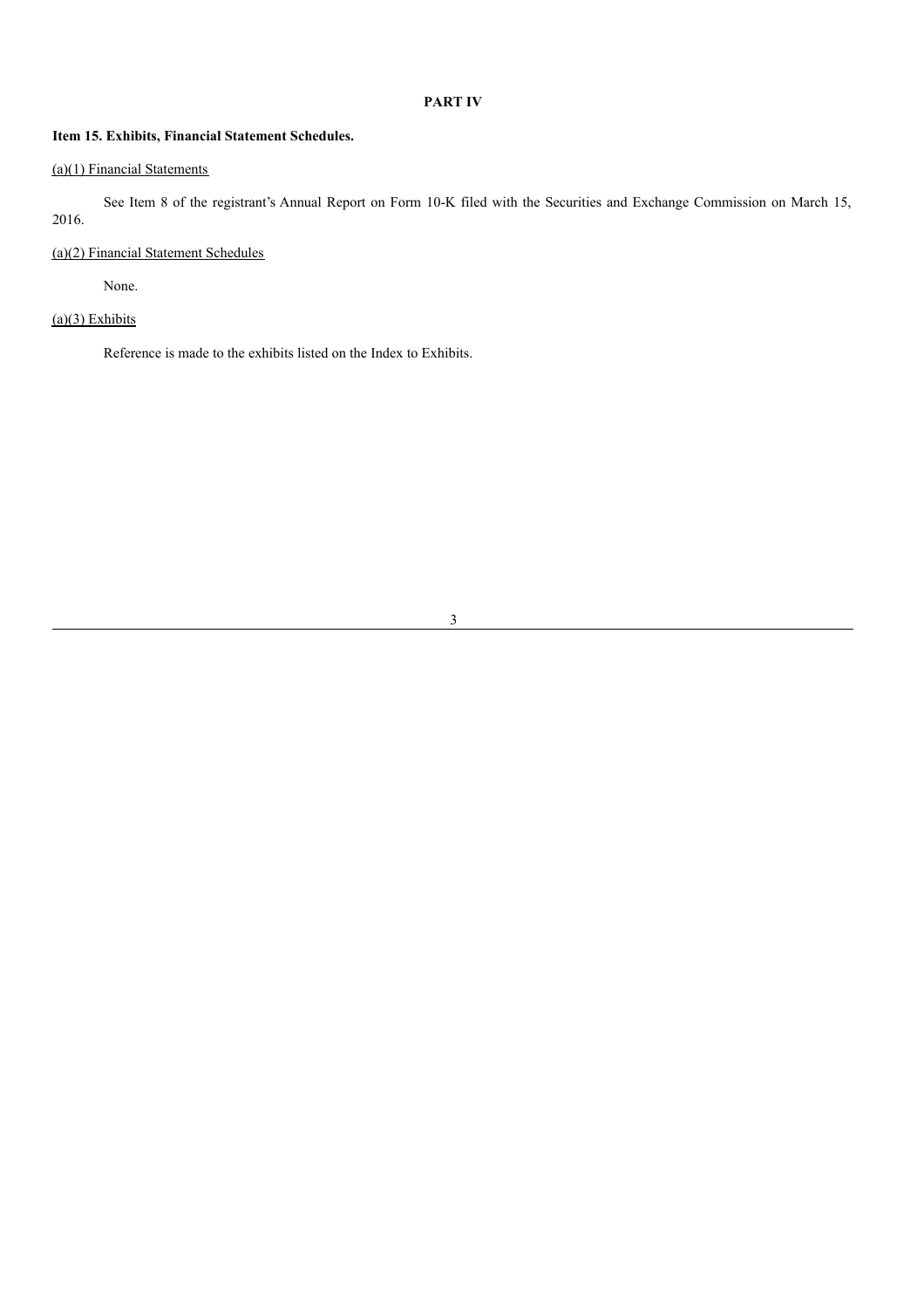# **PART IV**

## **Item 15. Exhibits, Financial Statement Schedules.**

# (a)(1) Financial Statements

See Item 8 of the registrant's Annual Report on Form 10-K filed with the Securities and Exchange Commission on March 15, 2016.

## (a)(2) Financial Statement Schedules

None.

# $(a)(3)$  Exhibits

Reference is made to the exhibits listed on the Index to Exhibits.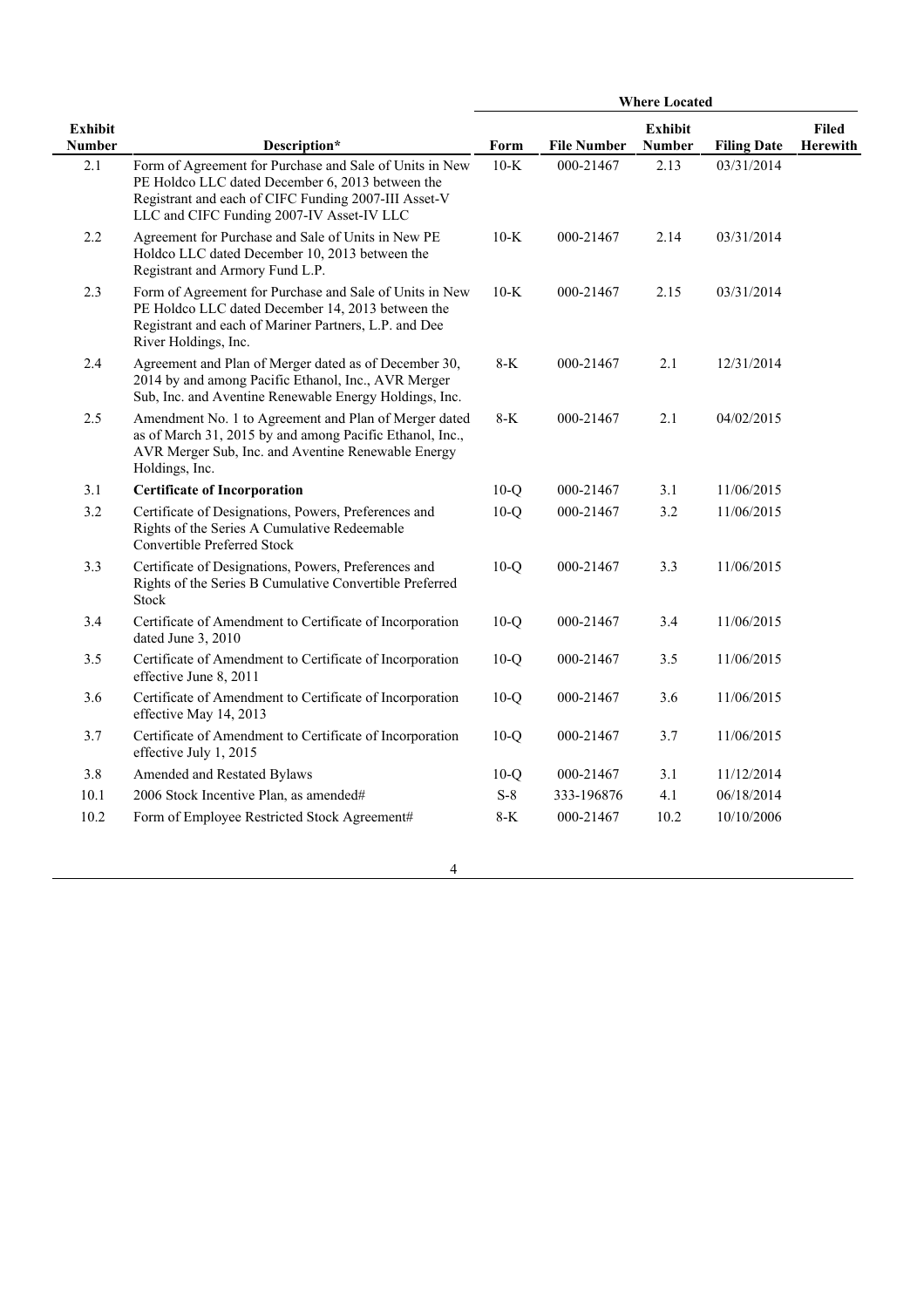|                                 |                                                                                                                                                                                                                  | <b>Where Located</b> |                    |                                 |                    |                          |
|---------------------------------|------------------------------------------------------------------------------------------------------------------------------------------------------------------------------------------------------------------|----------------------|--------------------|---------------------------------|--------------------|--------------------------|
| <b>Exhibit</b><br><b>Number</b> | Description*                                                                                                                                                                                                     | Form                 | <b>File Number</b> | <b>Exhibit</b><br><b>Number</b> | <b>Filing Date</b> | <b>Filed</b><br>Herewith |
| 2.1                             | Form of Agreement for Purchase and Sale of Units in New<br>PE Holdco LLC dated December 6, 2013 between the<br>Registrant and each of CIFC Funding 2007-III Asset-V<br>LLC and CIFC Funding 2007-IV Asset-IV LLC | $10-K$               | 000-21467          | 2.13                            | 03/31/2014         |                          |
| 2.2                             | Agreement for Purchase and Sale of Units in New PE<br>Holdco LLC dated December 10, 2013 between the<br>Registrant and Armory Fund L.P.                                                                          | $10-K$               | 000-21467          | 2.14                            | 03/31/2014         |                          |
| 2.3                             | Form of Agreement for Purchase and Sale of Units in New<br>PE Holdco LLC dated December 14, 2013 between the<br>Registrant and each of Mariner Partners, L.P. and Dee<br>River Holdings, Inc.                    | $10-K$               | 000-21467          | 2.15                            | 03/31/2014         |                          |
| 2.4                             | Agreement and Plan of Merger dated as of December 30,<br>2014 by and among Pacific Ethanol, Inc., AVR Merger<br>Sub, Inc. and Aventine Renewable Energy Holdings, Inc.                                           | $8-K$                | 000-21467          | 2.1                             | 12/31/2014         |                          |
| 2.5                             | Amendment No. 1 to Agreement and Plan of Merger dated<br>as of March 31, 2015 by and among Pacific Ethanol, Inc.,<br>AVR Merger Sub, Inc. and Aventine Renewable Energy<br>Holdings, Inc.                        | $8 - K$              | 000-21467          | 2.1                             | 04/02/2015         |                          |
| 3.1                             | <b>Certificate of Incorporation</b>                                                                                                                                                                              | $10-Q$               | 000-21467          | 3.1                             | 11/06/2015         |                          |
| 3.2                             | Certificate of Designations, Powers, Preferences and<br>Rights of the Series A Cumulative Redeemable<br>Convertible Preferred Stock                                                                              | $10-Q$               | 000-21467          | 3.2                             | 11/06/2015         |                          |
| 3.3                             | Certificate of Designations, Powers, Preferences and<br>Rights of the Series B Cumulative Convertible Preferred<br>Stock                                                                                         | $10-Q$               | 000-21467          | 3.3                             | 11/06/2015         |                          |
| 3.4                             | Certificate of Amendment to Certificate of Incorporation<br>dated June 3, 2010                                                                                                                                   | $10-Q$               | 000-21467          | 3.4                             | 11/06/2015         |                          |
| 3.5                             | Certificate of Amendment to Certificate of Incorporation<br>effective June 8, 2011                                                                                                                               | $10-Q$               | 000-21467          | 3.5                             | 11/06/2015         |                          |
| 3.6                             | Certificate of Amendment to Certificate of Incorporation<br>effective May 14, 2013                                                                                                                               | $10-Q$               | 000-21467          | 3.6                             | 11/06/2015         |                          |
| 3.7                             | Certificate of Amendment to Certificate of Incorporation<br>effective July 1, 2015                                                                                                                               | $10-Q$               | 000-21467          | 3.7                             | 11/06/2015         |                          |
| 3.8                             | Amended and Restated Bylaws                                                                                                                                                                                      | $10-Q$               | 000-21467          | 3.1                             | 11/12/2014         |                          |
| 10.1                            | 2006 Stock Incentive Plan, as amended#                                                                                                                                                                           | $S-8$                | 333-196876         | 4.1                             | 06/18/2014         |                          |
| 10.2                            | Form of Employee Restricted Stock Agreement#                                                                                                                                                                     | $8-K$                | 000-21467          | 10.2                            | 10/10/2006         |                          |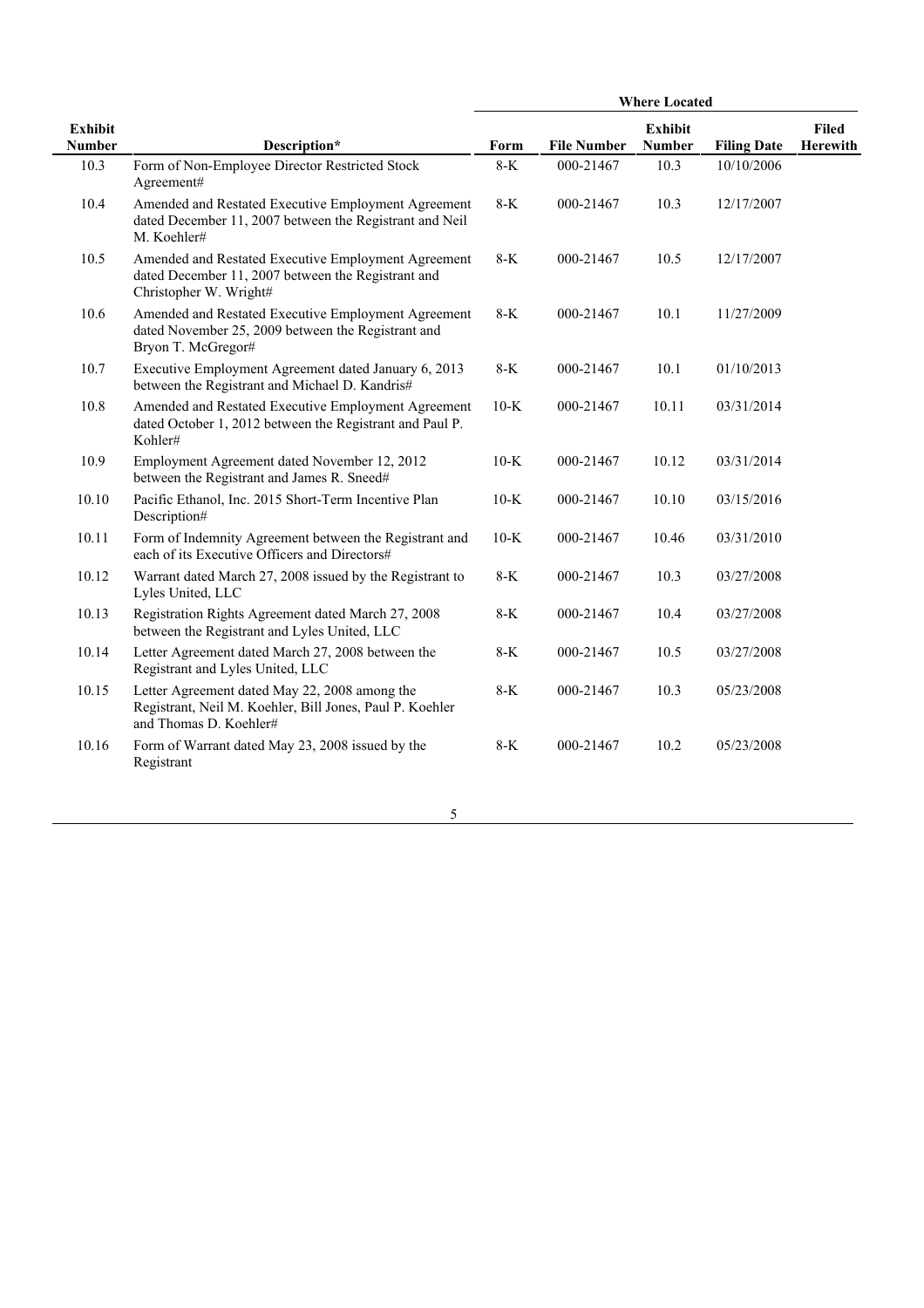|                                 |                                                                                                                                     | <b>Where Located</b> |                    |                          |                    |                          |
|---------------------------------|-------------------------------------------------------------------------------------------------------------------------------------|----------------------|--------------------|--------------------------|--------------------|--------------------------|
| <b>Exhibit</b><br><b>Number</b> | Description*                                                                                                                        | Form                 | <b>File Number</b> | Exhibit<br><b>Number</b> | <b>Filing Date</b> | <b>Filed</b><br>Herewith |
| 10.3                            | Form of Non-Employee Director Restricted Stock<br>Agreement#                                                                        | $8-K$                | 000-21467          | 10.3                     | 10/10/2006         |                          |
| 10.4                            | Amended and Restated Executive Employment Agreement<br>dated December 11, 2007 between the Registrant and Neil<br>M. Koehler#       | $8-K$                | 000-21467          | 10.3                     | 12/17/2007         |                          |
| 10.5                            | Amended and Restated Executive Employment Agreement<br>dated December 11, 2007 between the Registrant and<br>Christopher W. Wright# | $8-K$                | 000-21467          | 10.5                     | 12/17/2007         |                          |
| 10.6                            | Amended and Restated Executive Employment Agreement<br>dated November 25, 2009 between the Registrant and<br>Bryon T. McGregor#     | $8-K$                | 000-21467          | 10.1                     | 11/27/2009         |                          |
| 10.7                            | Executive Employment Agreement dated January 6, 2013<br>between the Registrant and Michael D. Kandris#                              | $8-K$                | 000-21467          | 10.1                     | 01/10/2013         |                          |
| 10.8                            | Amended and Restated Executive Employment Agreement<br>dated October 1, 2012 between the Registrant and Paul P.<br>Kohler#          | $10-K$               | 000-21467          | 10.11                    | 03/31/2014         |                          |
| 10.9                            | Employment Agreement dated November 12, 2012<br>between the Registrant and James R. Sneed#                                          | $10-K$               | 000-21467          | 10.12                    | 03/31/2014         |                          |
| 10.10                           | Pacific Ethanol, Inc. 2015 Short-Term Incentive Plan<br>Description#                                                                | $10-K$               | 000-21467          | 10.10                    | 03/15/2016         |                          |
| 10.11                           | Form of Indemnity Agreement between the Registrant and<br>each of its Executive Officers and Directors#                             | $10-K$               | 000-21467          | 10.46                    | 03/31/2010         |                          |
| 10.12                           | Warrant dated March 27, 2008 issued by the Registrant to<br>Lyles United, LLC                                                       | $8-K$                | 000-21467          | 10.3                     | 03/27/2008         |                          |
| 10.13                           | Registration Rights Agreement dated March 27, 2008<br>between the Registrant and Lyles United, LLC                                  | $8-K$                | 000-21467          | 10.4                     | 03/27/2008         |                          |
| 10.14                           | Letter Agreement dated March 27, 2008 between the<br>Registrant and Lyles United, LLC                                               | 8-K                  | 000-21467          | 10.5                     | 03/27/2008         |                          |
| 10.15                           | Letter Agreement dated May 22, 2008 among the<br>Registrant, Neil M. Koehler, Bill Jones, Paul P. Koehler<br>and Thomas D. Koehler# | 8-K                  | 000-21467          | 10.3                     | 05/23/2008         |                          |
| 10.16                           | Form of Warrant dated May 23, 2008 issued by the<br>Registrant                                                                      | $8-K$                | 000-21467          | 10.2                     | 05/23/2008         |                          |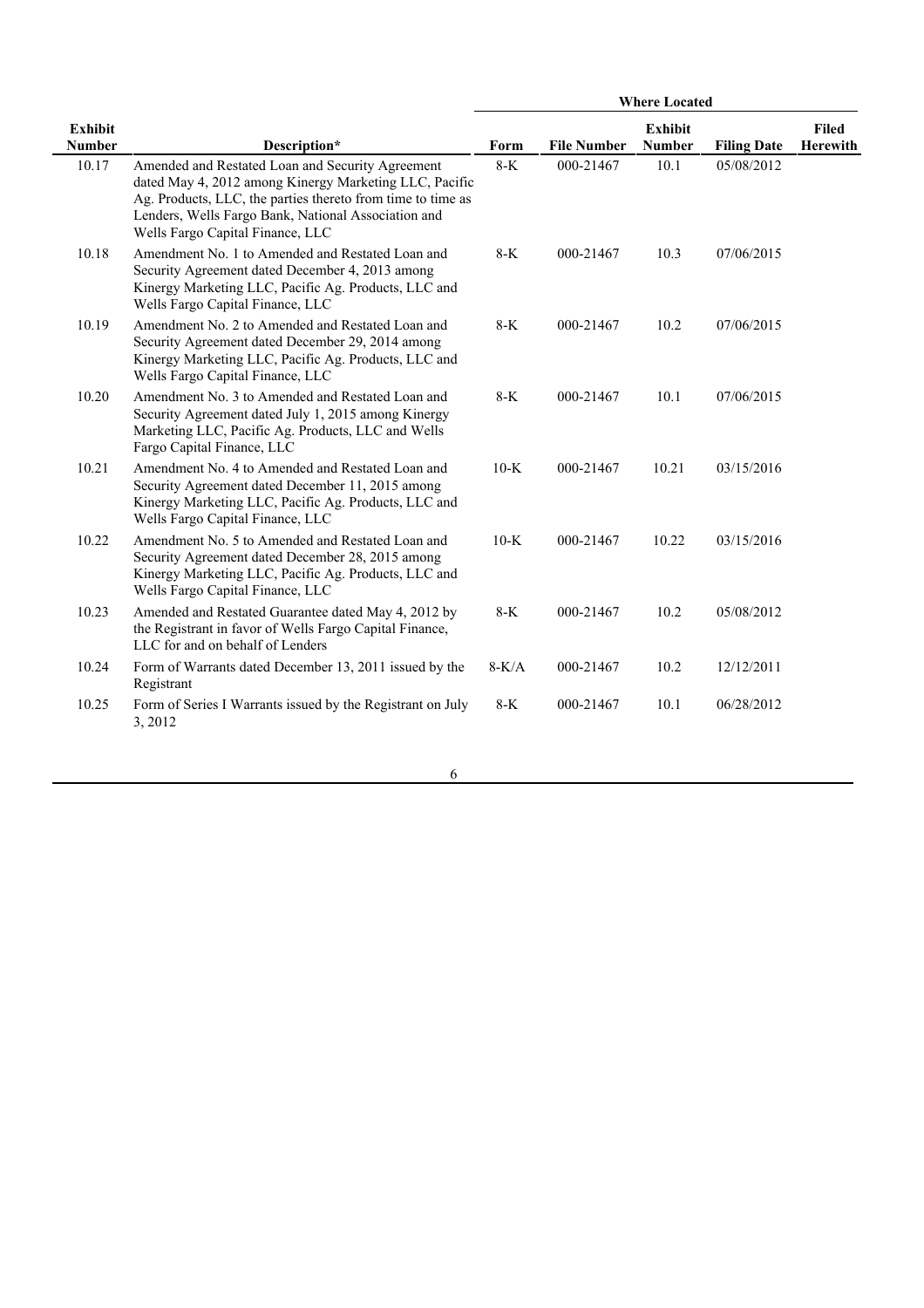|                                 |                                                                                                                                                                                                                                                                      | <b>Where Located</b> |                    |                                 |                    |                          |
|---------------------------------|----------------------------------------------------------------------------------------------------------------------------------------------------------------------------------------------------------------------------------------------------------------------|----------------------|--------------------|---------------------------------|--------------------|--------------------------|
| <b>Exhibit</b><br><b>Number</b> | Description*                                                                                                                                                                                                                                                         | Form                 | <b>File Number</b> | <b>Exhibit</b><br><b>Number</b> | <b>Filing Date</b> | <b>Filed</b><br>Herewith |
| 10.17                           | Amended and Restated Loan and Security Agreement<br>dated May 4, 2012 among Kinergy Marketing LLC, Pacific<br>Ag. Products, LLC, the parties thereto from time to time as<br>Lenders, Wells Fargo Bank, National Association and<br>Wells Fargo Capital Finance, LLC | $8-K$                | 000-21467          | 10.1                            | 05/08/2012         |                          |
| 10.18                           | Amendment No. 1 to Amended and Restated Loan and<br>Security Agreement dated December 4, 2013 among<br>Kinergy Marketing LLC, Pacific Ag. Products, LLC and<br>Wells Fargo Capital Finance, LLC                                                                      | $8-K$                | 000-21467          | 10.3                            | 07/06/2015         |                          |
| 10.19                           | Amendment No. 2 to Amended and Restated Loan and<br>Security Agreement dated December 29, 2014 among<br>Kinergy Marketing LLC, Pacific Ag. Products, LLC and<br>Wells Fargo Capital Finance, LLC                                                                     | $8-K$                | 000-21467          | 10.2                            | 07/06/2015         |                          |
| 10.20                           | Amendment No. 3 to Amended and Restated Loan and<br>Security Agreement dated July 1, 2015 among Kinergy<br>Marketing LLC, Pacific Ag. Products, LLC and Wells<br>Fargo Capital Finance, LLC                                                                          | $8-K$                | 000-21467          | 10.1                            | 07/06/2015         |                          |
| 10.21                           | Amendment No. 4 to Amended and Restated Loan and<br>Security Agreement dated December 11, 2015 among<br>Kinergy Marketing LLC, Pacific Ag. Products, LLC and<br>Wells Fargo Capital Finance, LLC                                                                     | $10-K$               | 000-21467          | 10.21                           | 03/15/2016         |                          |
| 10.22                           | Amendment No. 5 to Amended and Restated Loan and<br>Security Agreement dated December 28, 2015 among<br>Kinergy Marketing LLC, Pacific Ag. Products, LLC and<br>Wells Fargo Capital Finance, LLC                                                                     | $10-K$               | 000-21467          | 10.22                           | 03/15/2016         |                          |
| 10.23                           | Amended and Restated Guarantee dated May 4, 2012 by<br>the Registrant in favor of Wells Fargo Capital Finance,<br>LLC for and on behalf of Lenders                                                                                                                   | $8-K$                | 000-21467          | 10.2                            | 05/08/2012         |                          |
| 10.24                           | Form of Warrants dated December 13, 2011 issued by the<br>Registrant                                                                                                                                                                                                 | $8-K/A$              | 000-21467          | 10.2                            | 12/12/2011         |                          |
| 10.25                           | Form of Series I Warrants issued by the Registrant on July<br>3, 2012                                                                                                                                                                                                | 8-K                  | 000-21467          | 10.1                            | 06/28/2012         |                          |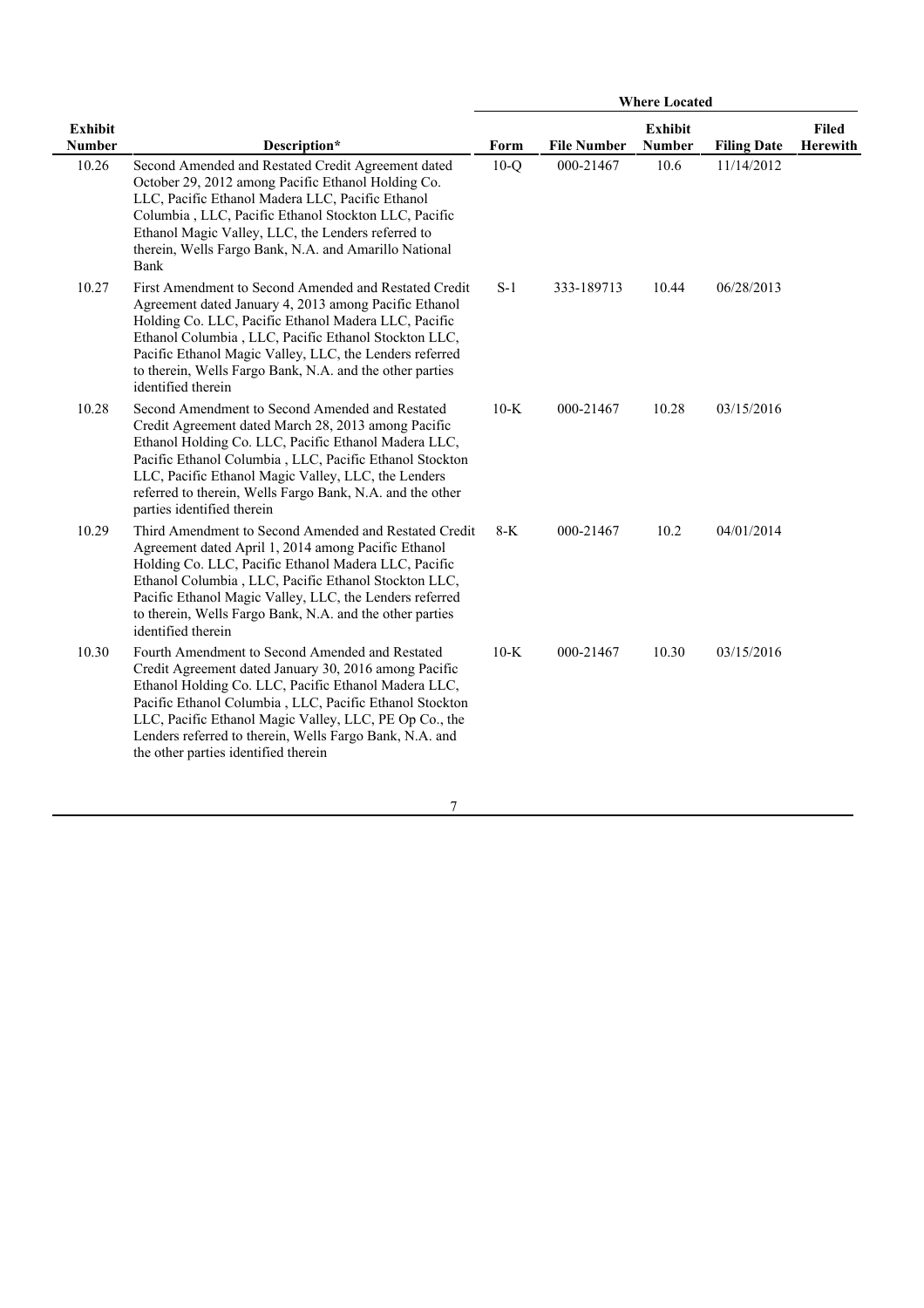|                                 |                                                                                                                                                                                                                                                                                                                                                                                          | <b>Where Located</b> |                    |                                 |                    |                          |
|---------------------------------|------------------------------------------------------------------------------------------------------------------------------------------------------------------------------------------------------------------------------------------------------------------------------------------------------------------------------------------------------------------------------------------|----------------------|--------------------|---------------------------------|--------------------|--------------------------|
| <b>Exhibit</b><br><b>Number</b> | Description*                                                                                                                                                                                                                                                                                                                                                                             | Form                 | <b>File Number</b> | <b>Exhibit</b><br><b>Number</b> | <b>Filing Date</b> | <b>Filed</b><br>Herewith |
| 10.26                           | Second Amended and Restated Credit Agreement dated<br>October 29, 2012 among Pacific Ethanol Holding Co.<br>LLC, Pacific Ethanol Madera LLC, Pacific Ethanol<br>Columbia, LLC, Pacific Ethanol Stockton LLC, Pacific<br>Ethanol Magic Valley, LLC, the Lenders referred to<br>therein, Wells Fargo Bank, N.A. and Amarillo National<br>Bank                                              | $10-Q$               | 000-21467          | 10.6                            | 11/14/2012         |                          |
| 10.27                           | First Amendment to Second Amended and Restated Credit<br>Agreement dated January 4, 2013 among Pacific Ethanol<br>Holding Co. LLC, Pacific Ethanol Madera LLC, Pacific<br>Ethanol Columbia, LLC, Pacific Ethanol Stockton LLC,<br>Pacific Ethanol Magic Valley, LLC, the Lenders referred<br>to therein, Wells Fargo Bank, N.A. and the other parties<br>identified therein              | $S-1$                | 333-189713         | 10.44                           | 06/28/2013         |                          |
| 10.28                           | Second Amendment to Second Amended and Restated<br>Credit Agreement dated March 28, 2013 among Pacific<br>Ethanol Holding Co. LLC, Pacific Ethanol Madera LLC,<br>Pacific Ethanol Columbia, LLC, Pacific Ethanol Stockton<br>LLC, Pacific Ethanol Magic Valley, LLC, the Lenders<br>referred to therein, Wells Fargo Bank, N.A. and the other<br>parties identified therein              | $10-K$               | 000-21467          | 10.28                           | 03/15/2016         |                          |
| 10.29                           | Third Amendment to Second Amended and Restated Credit<br>Agreement dated April 1, 2014 among Pacific Ethanol<br>Holding Co. LLC, Pacific Ethanol Madera LLC, Pacific<br>Ethanol Columbia, LLC, Pacific Ethanol Stockton LLC,<br>Pacific Ethanol Magic Valley, LLC, the Lenders referred<br>to therein, Wells Fargo Bank, N.A. and the other parties<br>identified therein                | $8-K$                | 000-21467          | 10.2                            | 04/01/2014         |                          |
| 10.30                           | Fourth Amendment to Second Amended and Restated<br>Credit Agreement dated January 30, 2016 among Pacific<br>Ethanol Holding Co. LLC, Pacific Ethanol Madera LLC,<br>Pacific Ethanol Columbia, LLC, Pacific Ethanol Stockton<br>LLC, Pacific Ethanol Magic Valley, LLC, PE Op Co., the<br>Lenders referred to therein, Wells Fargo Bank, N.A. and<br>the other parties identified therein | $10-K$               | 000-21467          | 10.30                           | 03/15/2016         |                          |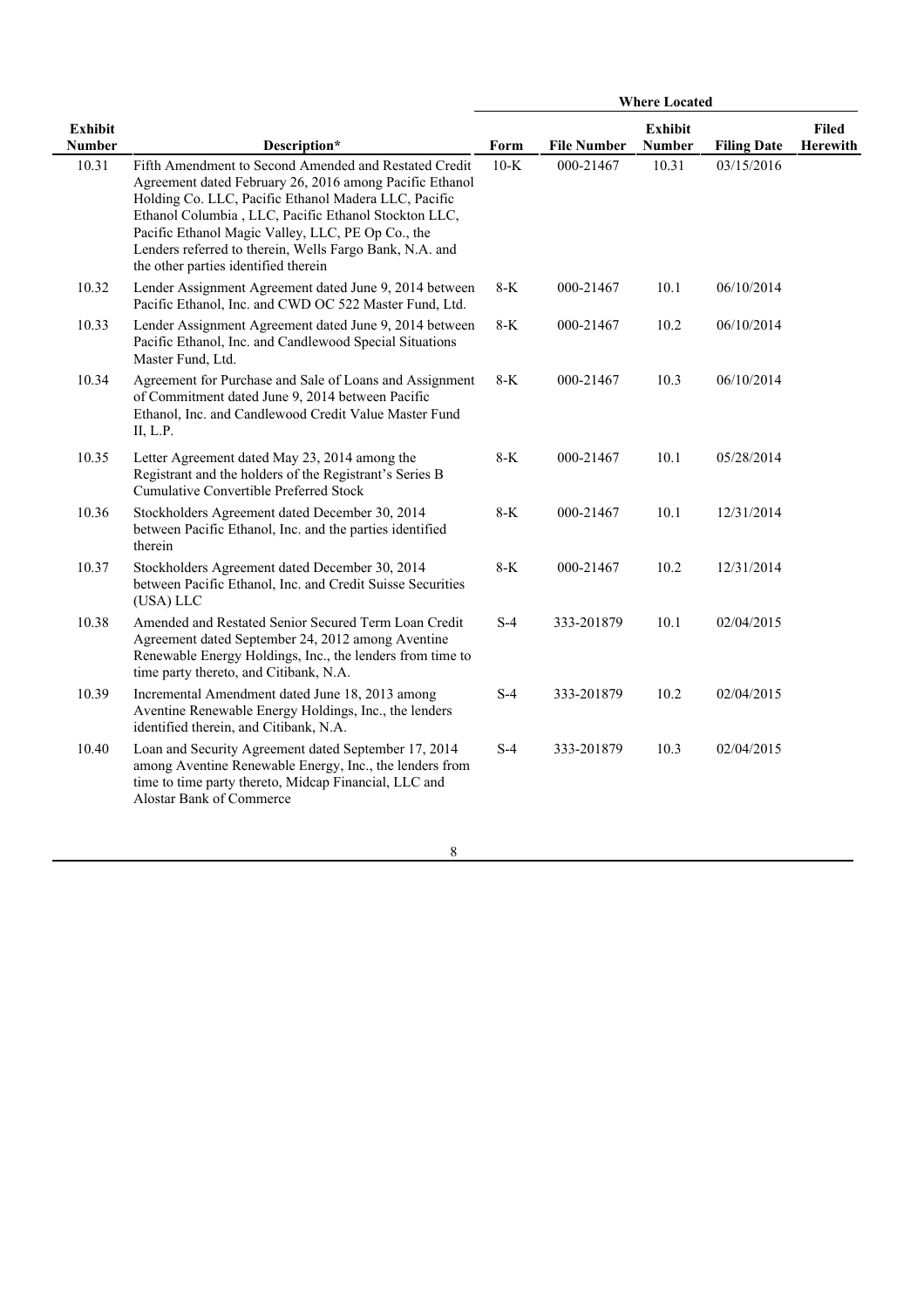|                                 |                                                                                                                                                                                                                                                                                                                                                                                          | <b>Where Located</b> |                    |                                 |                    |                          |
|---------------------------------|------------------------------------------------------------------------------------------------------------------------------------------------------------------------------------------------------------------------------------------------------------------------------------------------------------------------------------------------------------------------------------------|----------------------|--------------------|---------------------------------|--------------------|--------------------------|
| <b>Exhibit</b><br><b>Number</b> | Description*                                                                                                                                                                                                                                                                                                                                                                             | Form                 | <b>File Number</b> | <b>Exhibit</b><br><b>Number</b> | <b>Filing Date</b> | <b>Filed</b><br>Herewith |
| 10.31                           | Fifth Amendment to Second Amended and Restated Credit<br>Agreement dated February 26, 2016 among Pacific Ethanol<br>Holding Co. LLC, Pacific Ethanol Madera LLC, Pacific<br>Ethanol Columbia, LLC, Pacific Ethanol Stockton LLC,<br>Pacific Ethanol Magic Valley, LLC, PE Op Co., the<br>Lenders referred to therein, Wells Fargo Bank, N.A. and<br>the other parties identified therein | $10-K$               | 000-21467          | 10.31                           | 03/15/2016         |                          |
| 10.32                           | Lender Assignment Agreement dated June 9, 2014 between<br>Pacific Ethanol, Inc. and CWD OC 522 Master Fund, Ltd.                                                                                                                                                                                                                                                                         | $8-K$                | 000-21467          | 10.1                            | 06/10/2014         |                          |
| 10.33                           | Lender Assignment Agreement dated June 9, 2014 between<br>Pacific Ethanol, Inc. and Candlewood Special Situations<br>Master Fund, Ltd.                                                                                                                                                                                                                                                   | $8-K$                | 000-21467          | 10.2                            | 06/10/2014         |                          |
| 10.34                           | Agreement for Purchase and Sale of Loans and Assignment<br>of Commitment dated June 9, 2014 between Pacific<br>Ethanol, Inc. and Candlewood Credit Value Master Fund<br>II, L.P.                                                                                                                                                                                                         | $8-K$                | 000-21467          | 10.3                            | 06/10/2014         |                          |
| 10.35                           | Letter Agreement dated May 23, 2014 among the<br>Registrant and the holders of the Registrant's Series B<br>Cumulative Convertible Preferred Stock                                                                                                                                                                                                                                       | $8-K$                | 000-21467          | 10.1                            | 05/28/2014         |                          |
| 10.36                           | Stockholders Agreement dated December 30, 2014<br>between Pacific Ethanol, Inc. and the parties identified<br>therein                                                                                                                                                                                                                                                                    | $8-K$                | 000-21467          | 10.1                            | 12/31/2014         |                          |
| 10.37                           | Stockholders Agreement dated December 30, 2014<br>between Pacific Ethanol, Inc. and Credit Suisse Securities<br>(USA) LLC                                                                                                                                                                                                                                                                | $8-K$                | 000-21467          | 10.2                            | 12/31/2014         |                          |
| 10.38                           | Amended and Restated Senior Secured Term Loan Credit<br>Agreement dated September 24, 2012 among Aventine<br>Renewable Energy Holdings, Inc., the lenders from time to<br>time party thereto, and Citibank, N.A.                                                                                                                                                                         | $S-4$                | 333-201879         | 10.1                            | 02/04/2015         |                          |
| 10.39                           | Incremental Amendment dated June 18, 2013 among<br>Aventine Renewable Energy Holdings, Inc., the lenders<br>identified therein, and Citibank, N.A.                                                                                                                                                                                                                                       | $S-4$                | 333-201879         | 10.2                            | 02/04/2015         |                          |
| 10.40                           | Loan and Security Agreement dated September 17, 2014<br>among Aventine Renewable Energy, Inc., the lenders from<br>time to time party thereto, Midcap Financial, LLC and<br>Alostar Bank of Commerce                                                                                                                                                                                     | $S-4$                | 333-201879         | 10.3                            | 02/04/2015         |                          |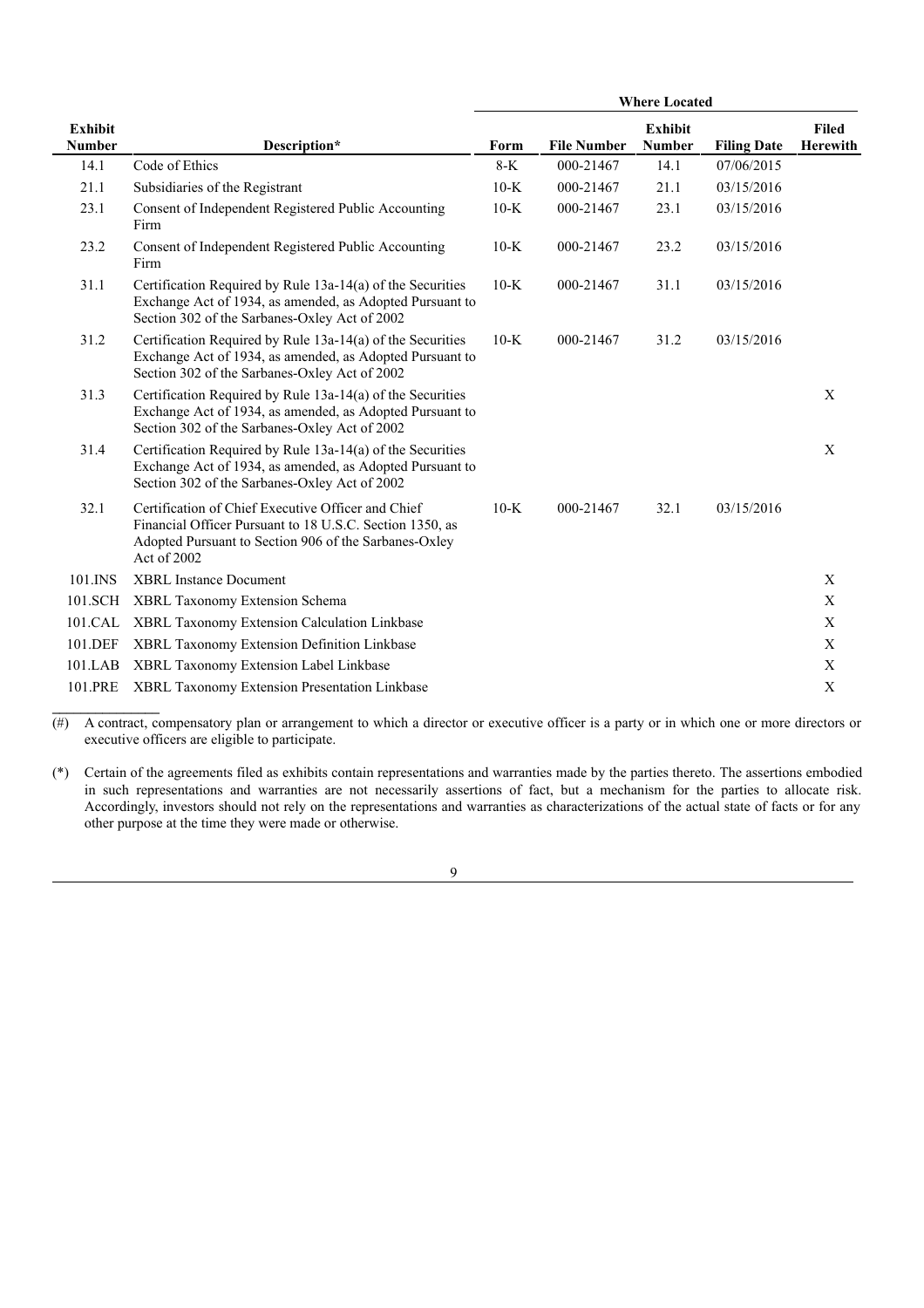|                                 |                                                                                                                                                                                        | <b>Where Located</b> |                    |                                 |                    |                                 |
|---------------------------------|----------------------------------------------------------------------------------------------------------------------------------------------------------------------------------------|----------------------|--------------------|---------------------------------|--------------------|---------------------------------|
| <b>Exhibit</b><br><b>Number</b> | Description*                                                                                                                                                                           | Form                 | <b>File Number</b> | <b>Exhibit</b><br><b>Number</b> | <b>Filing Date</b> | <b>Filed</b><br><b>Herewith</b> |
| 14.1                            | Code of Ethics                                                                                                                                                                         | $8-K$                | 000-21467          | 14.1                            | 07/06/2015         |                                 |
| 21.1                            | Subsidiaries of the Registrant                                                                                                                                                         | $10-K$               | 000-21467          | 21.1                            | 03/15/2016         |                                 |
| 23.1                            | Consent of Independent Registered Public Accounting<br>Firm                                                                                                                            | $10-K$               | 000-21467          | 23.1                            | 03/15/2016         |                                 |
| 23.2                            | Consent of Independent Registered Public Accounting<br>Firm                                                                                                                            | $10-K$               | 000-21467          | 23.2                            | 03/15/2016         |                                 |
| 31.1                            | Certification Required by Rule 13a-14(a) of the Securities<br>Exchange Act of 1934, as amended, as Adopted Pursuant to<br>Section 302 of the Sarbanes-Oxley Act of 2002                | $10-K$               | 000-21467          | 31.1                            | 03/15/2016         |                                 |
| 31.2                            | Certification Required by Rule 13a-14(a) of the Securities<br>Exchange Act of 1934, as amended, as Adopted Pursuant to<br>Section 302 of the Sarbanes-Oxley Act of 2002                | $10-K$               | 000-21467          | 31.2                            | 03/15/2016         |                                 |
| 31.3                            | Certification Required by Rule 13a-14(a) of the Securities<br>Exchange Act of 1934, as amended, as Adopted Pursuant to<br>Section 302 of the Sarbanes-Oxley Act of 2002                |                      |                    |                                 |                    | X                               |
| 31.4                            | Certification Required by Rule 13a-14(a) of the Securities<br>Exchange Act of 1934, as amended, as Adopted Pursuant to<br>Section 302 of the Sarbanes-Oxley Act of 2002                |                      |                    |                                 |                    | X                               |
| 32.1                            | Certification of Chief Executive Officer and Chief<br>Financial Officer Pursuant to 18 U.S.C. Section 1350, as<br>Adopted Pursuant to Section 906 of the Sarbanes-Oxley<br>Act of 2002 | $10-K$               | 000-21467          | 32.1                            | 03/15/2016         |                                 |
| 101.INS                         | <b>XBRL Instance Document</b>                                                                                                                                                          |                      |                    |                                 |                    | X                               |
| 101.SCH                         | XBRL Taxonomy Extension Schema                                                                                                                                                         |                      |                    |                                 |                    | $\mathbf X$                     |
| 101.CAL                         | XBRL Taxonomy Extension Calculation Linkbase                                                                                                                                           |                      |                    |                                 |                    | X                               |
| 101.DEF                         | XBRL Taxonomy Extension Definition Linkbase                                                                                                                                            |                      |                    |                                 |                    | $\mathbf X$                     |
| 101.LAB                         | XBRL Taxonomy Extension Label Linkbase                                                                                                                                                 |                      |                    |                                 |                    | $\mathbf X$                     |
| 101.PRE                         | XBRL Taxonomy Extension Presentation Linkbase                                                                                                                                          |                      |                    |                                 |                    | $\mathbf X$                     |

 $(\#)$  A contract, compensatory plan or arrangement to which a director or executive officer is a party or in which one or more directors or executive officers are eligible to participate.

**\_\_\_\_\_\_\_\_\_\_\_\_\_\_\_**

(\*) Certain of the agreements filed as exhibits contain representations and warranties made by the parties thereto. The assertions embodied in such representations and warranties are not necessarily assertions of fact, but a mechanism for the parties to allocate risk. Accordingly, investors should not rely on the representations and warranties as characterizations of the actual state of facts or for any other purpose at the time they were made or otherwise.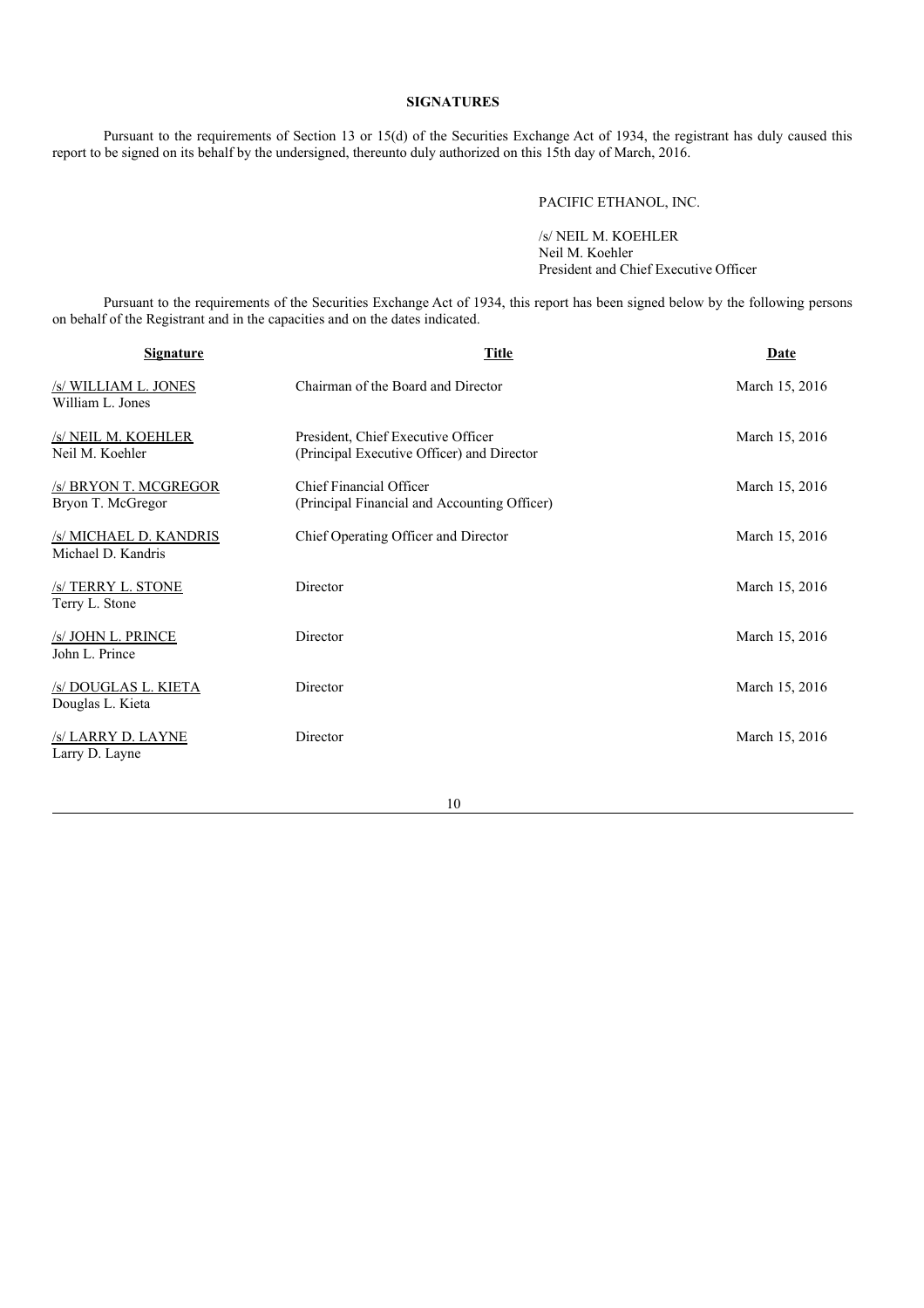# **SIGNATURES**

Pursuant to the requirements of Section 13 or 15(d) of the Securities Exchange Act of 1934, the registrant has duly caused this report to be signed on its behalf by the undersigned, thereunto duly authorized on this 15th day of March, 2016.

# PACIFIC ETHANOL, INC.

/s/ NEIL M. KOEHLER Neil M. Koehler President and Chief Executive Officer

Pursuant to the requirements of the Securities Exchange Act of 1934, this report has been signed below by the following persons on behalf of the Registrant and in the capacities and on the dates indicated.

| <b>Signature</b>                                | <b>Title</b>                                                                     | Date           |
|-------------------------------------------------|----------------------------------------------------------------------------------|----------------|
| /s/ WILLIAM L. JONES<br>William L. Jones        | Chairman of the Board and Director                                               | March 15, 2016 |
| /s/ NEIL M. KOEHLER<br>Neil M. Koehler          | President, Chief Executive Officer<br>(Principal Executive Officer) and Director | March 15, 2016 |
| <b>S BRYON T. MCGREGOR</b><br>Bryon T. McGregor | <b>Chief Financial Officer</b><br>(Principal Financial and Accounting Officer)   | March 15, 2016 |
| /s/ MICHAEL D. KANDRIS<br>Michael D. Kandris    | Chief Operating Officer and Director                                             | March 15, 2016 |
| <b>S TERRY L. STONE</b><br>Terry L. Stone       | Director                                                                         | March 15, 2016 |
| /s/ JOHN L. PRINCE<br>John L. Prince            | Director                                                                         | March 15, 2016 |
| <b>S DOUGLAS L. KIETA</b><br>Douglas L. Kieta   | Director                                                                         | March 15, 2016 |
| /s/ LARRY D. LAYNE<br>Larry D. Layne            | Director                                                                         | March 15, 2016 |
|                                                 |                                                                                  |                |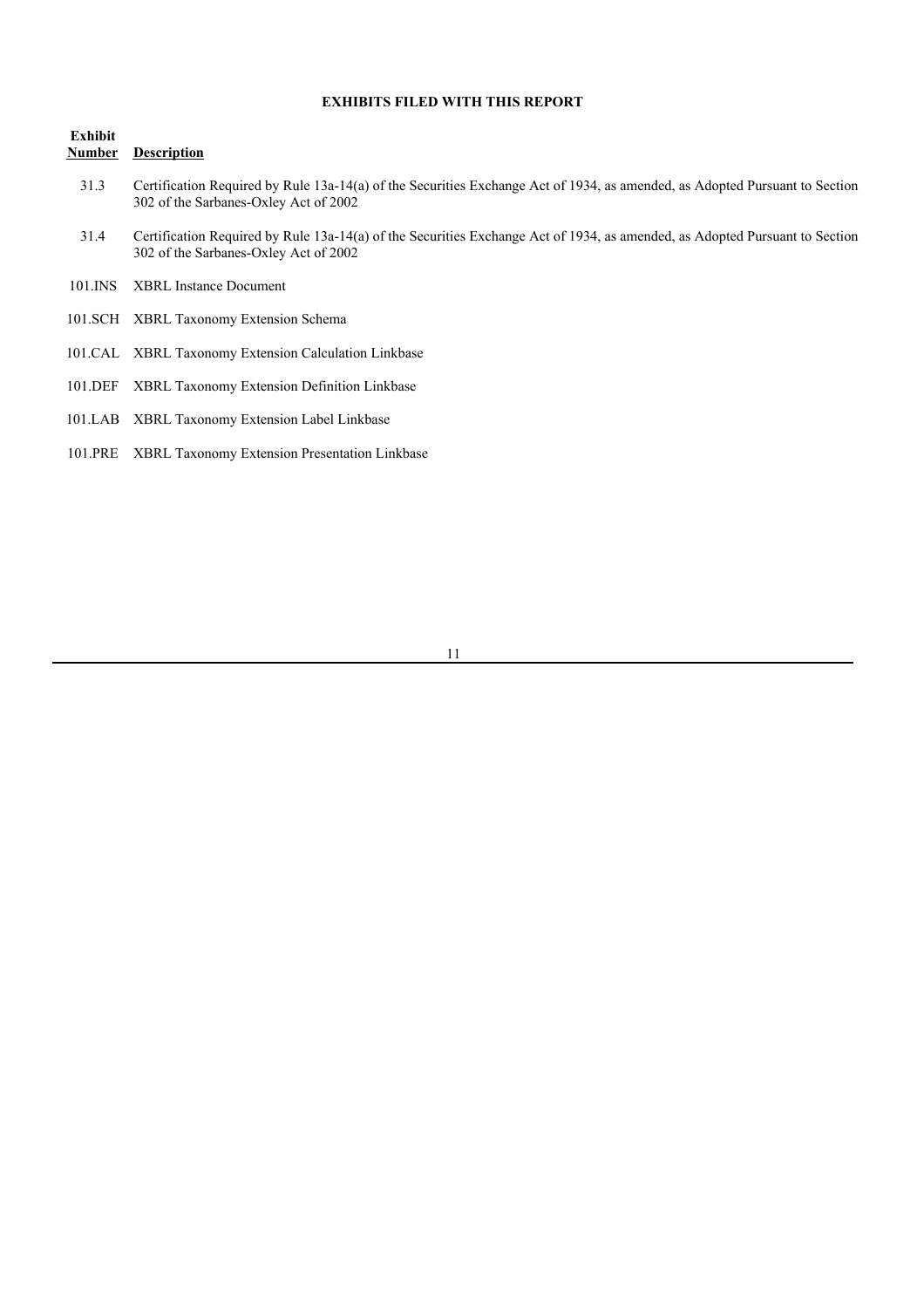# **EXHIBITS FILED WITH THIS REPORT**

## **Exhibit Number Description**

- 31.3 Certification Required by Rule 13a-14(a) of the Securities Exchange Act of 1934, as amended, as Adopted Pursuant to Section 302 of the Sarbanes-Oxley Act of 2002
- 31.4 Certification Required by Rule 13a-14(a) of the Securities Exchange Act of 1934, as amended, as Adopted Pursuant to Section 302 of the Sarbanes-Oxley Act of 2002
- 101.INS XBRL Instance Document
- 101.SCH XBRL Taxonomy Extension Schema
- 101.CAL XBRL Taxonomy Extension Calculation Linkbase
- 101.DEF XBRL Taxonomy Extension Definition Linkbase
- 101.LAB XBRL Taxonomy Extension Label Linkbase
- 101.PRE XBRL Taxonomy Extension Presentation Linkbase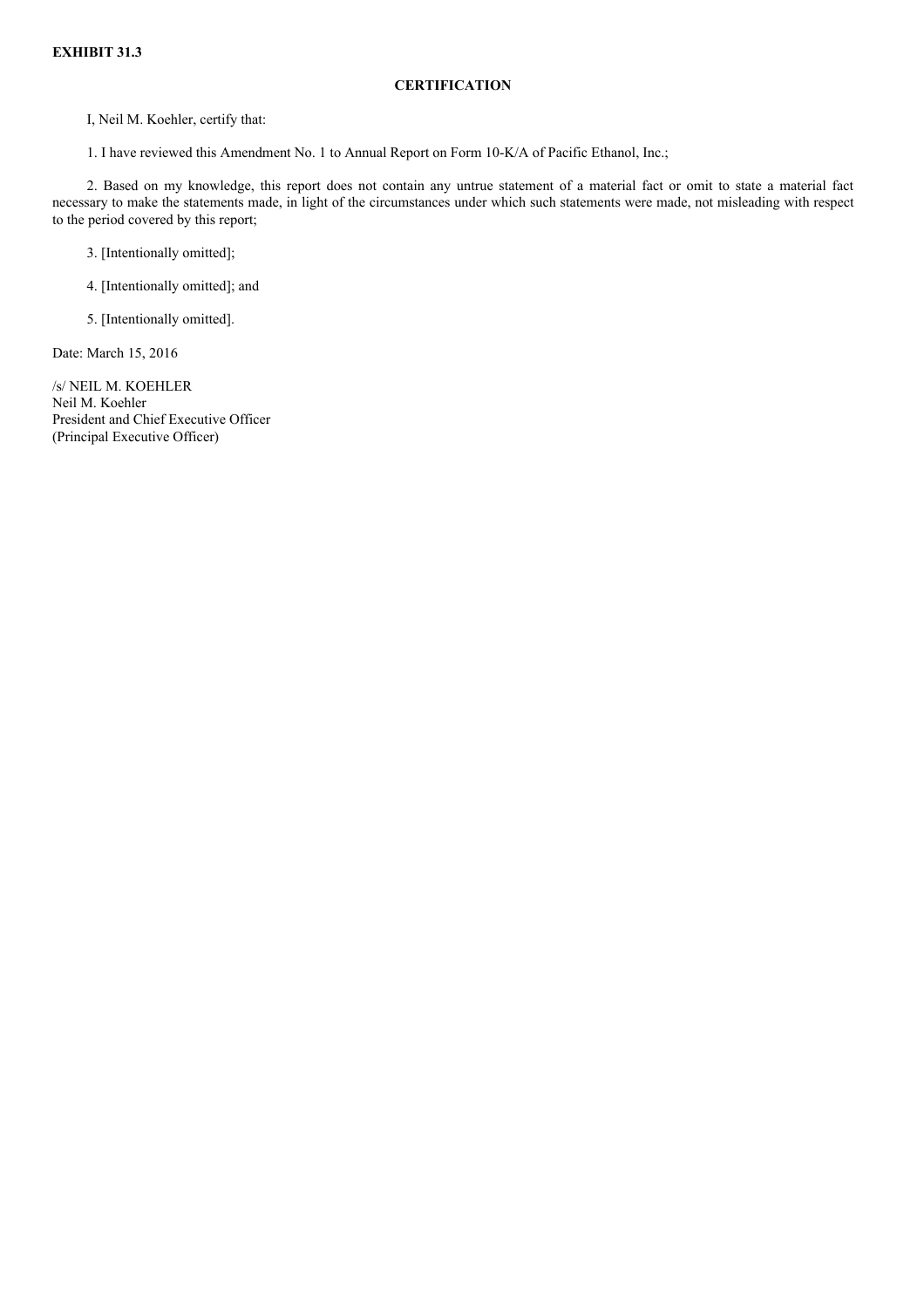### **CERTIFICATION**

I, Neil M. Koehler, certify that:

1. I have reviewed this Amendment No. 1 to Annual Report on Form 10-K/A of Pacific Ethanol, Inc.;

2. Based on my knowledge, this report does not contain any untrue statement of a material fact or omit to state a material fact necessary to make the statements made, in light of the circumstances under which such statements were made, not misleading with respect to the period covered by this report;

3. [Intentionally omitted];

4. [Intentionally omitted]; and

5. [Intentionally omitted].

Date: March 15, 2016

/s/ NEIL M. KOEHLER Neil M. Koehler President and Chief Executive Officer (Principal Executive Officer)